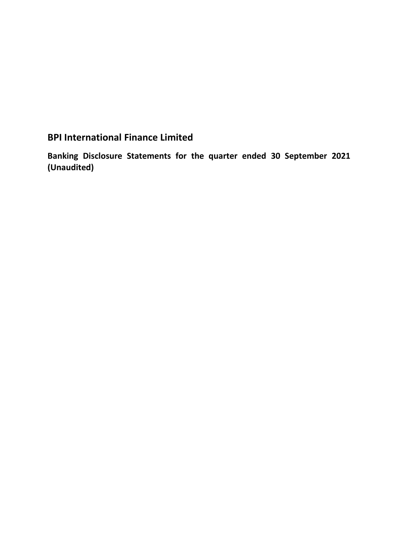# **BPI International Finance Limited**

**Banking Disclosure Statements for the quarter ended 30 September 2021 (Unaudited)**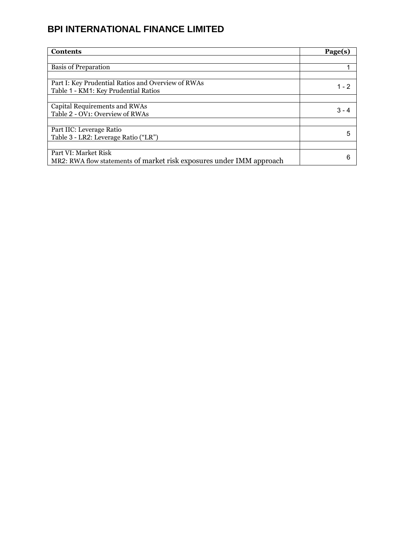| <b>Contents</b>                                                      | Page(s) |
|----------------------------------------------------------------------|---------|
|                                                                      |         |
| <b>Basis of Preparation</b>                                          |         |
|                                                                      |         |
| Part I: Key Prudential Ratios and Overview of RWAs                   | 1 - 2   |
| Table 1 - KM1: Key Prudential Ratios                                 |         |
|                                                                      |         |
| Capital Requirements and RWAs                                        | 3 - 4   |
| Table 2 - OV1: Overview of RWAs                                      |         |
|                                                                      |         |
| Part IIC: Leverage Ratio                                             | 5       |
| Table 3 - LR2: Leverage Ratio ("LR")                                 |         |
|                                                                      |         |
| Part VI: Market Risk                                                 | 6       |
| MR2: RWA flow statements of market risk exposures under IMM approach |         |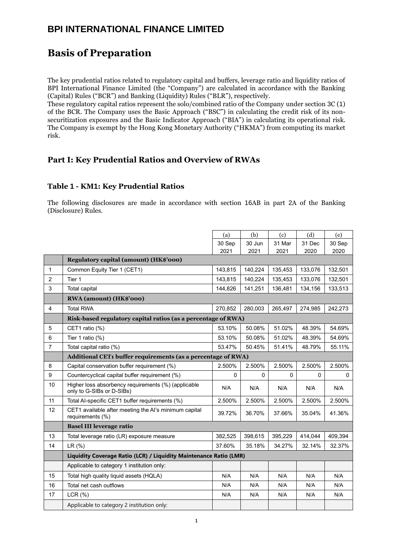## **Basis of Preparation**

The key prudential ratios related to regulatory capital and buffers, leverage ratio and liquidity ratios of BPI International Finance Limited (the "Company") are calculated in accordance with the Banking (Capital) Rules ("BCR") and Banking (Liquidity) Rules ("BLR"), respectively.

These regulatory capital ratios represent the solo/combined ratio of the Company under section 3C (1) of the BCR. The Company uses the Basic Approach ("BSC") in calculating the credit risk of its nonsecuritization exposures and the Basic Indicator Approach ("BIA") in calculating its operational risk. The Company is exempt by the Hong Kong Monetary Authority ("HKMA") from computing its market risk.

#### **Part I: Key Prudential Ratios and Overview of RWAs**

#### **Table 1 - KM1: Key Prudential Ratios**

The following disclosures are made in accordance with section 16AB in part 2A of the Banking (Disclosure) Rules.

|                |                                                                                  | (a)     | (b)     | (c)     | (d)     | (e)     |  |
|----------------|----------------------------------------------------------------------------------|---------|---------|---------|---------|---------|--|
|                |                                                                                  | 30 Sep  | 30 Jun  | 31 Mar  | 31 Dec  | 30 Sep  |  |
|                |                                                                                  | 2021    | 2021    | 2021    | 2020    | 2020    |  |
|                | Regulatory capital (amount) (HK\$'000)                                           |         |         |         |         |         |  |
| $\mathbf{1}$   | Common Equity Tier 1 (CET1)                                                      | 143,815 | 140,224 | 135,453 | 133,076 | 132,501 |  |
| $\overline{2}$ | Tier 1                                                                           | 143,815 | 140,224 | 135,453 | 133,076 | 132,501 |  |
| 3              | <b>Total capital</b>                                                             | 144,826 | 141,251 | 136,481 | 134,156 | 133,513 |  |
|                | RWA (amount) (HK\$'000)                                                          |         |         |         |         |         |  |
| $\overline{4}$ | <b>Total RWA</b>                                                                 | 270,852 | 280,003 | 265,497 | 274,985 | 242,273 |  |
|                | Risk-based regulatory capital ratios (as a percentage of RWA)                    |         |         |         |         |         |  |
| 5              | CET1 ratio (%)                                                                   | 53.10%  | 50.08%  | 51.02%  | 48.39%  | 54.69%  |  |
| 6              | Tier 1 ratio $(\%)$                                                              | 53.10%  | 50.08%  | 51.02%  | 48.39%  | 54.69%  |  |
| $\overline{7}$ | Total capital ratio (%)                                                          | 53.47%  | 50.45%  | 51.41%  | 48.79%  | 55.11%  |  |
|                | Additional CET1 buffer requirements (as a percentage of RWA)                     |         |         |         |         |         |  |
| 8              | Capital conservation buffer requirement (%)                                      | 2.500%  | 2.500%  | 2.500%  | 2.500%  | 2.500%  |  |
| 9              | Countercyclical capital buffer requirement (%)                                   | 0       | 0       | 0       | 0       | 0       |  |
| 10             | Higher loss absorbency requirements (%) (applicable<br>only to G-SIBs or D-SIBs) | N/A     | N/A     | N/A     | N/A     | N/A     |  |
| 11             | Total Al-specific CET1 buffer requirements (%)                                   | 2.500%  | 2.500%  | 2.500%  | 2.500%  | 2.500%  |  |
| 12             | CET1 available after meeting the AI's minimum capital<br>requirements (%)        | 39.72%  | 36.70%  | 37.66%  | 35.04%  | 41.36%  |  |
|                | <b>Basel III leverage ratio</b>                                                  |         |         |         |         |         |  |
| 13             | Total leverage ratio (LR) exposure measure                                       | 382,525 | 398,615 | 395,229 | 414,044 | 409,394 |  |
| 14             | LR(%)                                                                            | 37.60%  | 35.18%  | 34.27%  | 32.14%  | 32.37%  |  |
|                | Liquidity Coverage Ratio (LCR) / Liquidity Maintenance Ratio (LMR)               |         |         |         |         |         |  |
|                | Applicable to category 1 institution only:                                       |         |         |         |         |         |  |
| 15             | Total high quality liquid assets (HQLA)                                          | N/A     | N/A     | N/A     | N/A     | N/A     |  |
| 16             | Total net cash outflows                                                          | N/A     | N/A     | N/A     | N/A     | N/A     |  |
| 17             | LCR(%)                                                                           | N/A     | N/A     | N/A     | N/A     | N/A     |  |
|                | Applicable to category 2 institution only:                                       |         |         |         |         |         |  |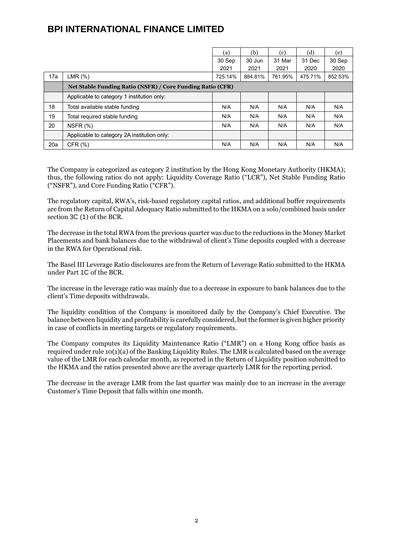|     |                                                            | (a)     | (b)     | (c)     | (d)     | (e)     |
|-----|------------------------------------------------------------|---------|---------|---------|---------|---------|
|     |                                                            | 30 Sep  | 30 Jun  | 31 Mar  | 31 Dec  | 30 Sep  |
|     |                                                            | 2021    | 2021    | 2021    | 2020    | 2020    |
| 17a | LMR(% )                                                    | 725.14% | 884.81% | 761.95% | 475.71% | 852.53% |
|     | Net Stable Funding Ratio (NSFR) / Core Funding Ratio (CFR) |         |         |         |         |         |
|     | Applicable to category 1 institution only:                 |         |         |         |         |         |
| 18  | Total available stable funding                             | N/A     | N/A     | N/A     | N/A     | N/A     |
| 19  | Total required stable funding                              | N/A     | N/A     | N/A     | N/A     | N/A     |
| 20  | NSFR $(%)$                                                 | N/A     | N/A     | N/A     | N/A     | N/A     |
|     | Applicable to category 2A institution only:                |         |         |         |         |         |
| 20a | CFR $(%)$                                                  | N/A     | N/A     | N/A     | N/A     | N/A     |

The Company is categorized as category 2 institution by the Hong Kong Monetary Authority (HKMA); thus, the following ratios do not apply: Liquidity Coverage Ratio ("LCR"), Net Stable Funding Ratio ("NSFR"), and Core Funding Ratio ("CFR").

The regulatory capital, RWA's, risk-based regulatory capital ratios, and additional buffer requirements are from the Return of Capital Adequacy Ratio submitted to the HKMA on a solo/combined basis under section 3C (1) of the BCR.

The decrease in the total RWA from the previous quarter was due to the reductions in the Money Market Placements and bank balances due to the withdrawal of client's Time deposits coupled with a decrease in the RWA for Operational risk.

The Basel III Leverage Ratio disclosures are from the Return of Leverage Ratio submitted to the HKMA under Part 1C of the BCR.

The increase in the leverage ratio was mainly due to a decrease in exposure to bank balances due to the client's Time deposits withdrawals.

The liquidity condition of the Company is monitored daily by the Company's Chief Executive. The balance between liquidity and profitability is carefully considered, but the former is given higher priority in case of conflicts in meeting targets or regulatory requirements.

The Company computes its Liquidity Maintenance Ratio ("LMR") on a Hong Kong office basis as required under rule 10(1)(a) of the Banking Liquidity Rules. The LMR is calculated based on the average value of the LMR for each calendar month, as reported in the Return of Liquidity position submitted to the HKMA and the ratios presented above are the average quarterly LMR for the reporting period.

The decrease in the average LMR from the last quarter was mainly due to an increase in the average Customer's Time Deposit that falls within one month.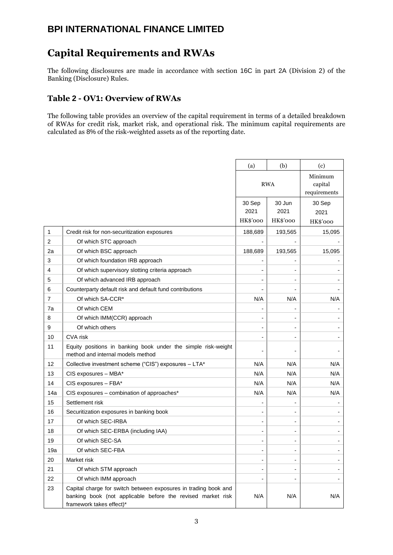# **Capital Requirements and RWAs**

The following disclosures are made in accordance with section 16C in part 2A (Division 2) of the Banking (Disclosure) Rules.

#### **Table 2 - OV1: Overview of RWAs**

The following table provides an overview of the capital requirement in terms of a detailed breakdown of RWAs for credit risk, market risk, and operational risk. The minimum capital requirements are calculated as 8% of the risk-weighted assets as of the reporting date.

|                |                                                                                                                                                            | (a)                          | (b)                      | (c)                                |
|----------------|------------------------------------------------------------------------------------------------------------------------------------------------------------|------------------------------|--------------------------|------------------------------------|
|                |                                                                                                                                                            | <b>RWA</b>                   |                          | Minimum<br>capital<br>requirements |
|                |                                                                                                                                                            | 30 Sep<br>2021               | 30 Jun<br>2021           | 30 Sep<br>2021                     |
|                |                                                                                                                                                            | HK\$'000                     | HK\$'000                 | HK\$'000                           |
| 1              | Credit risk for non-securitization exposures                                                                                                               | 188,689                      | 193,565                  | 15,095                             |
| $\overline{c}$ | Of which STC approach                                                                                                                                      | $\overline{\phantom{a}}$     |                          |                                    |
| 2a             | Of which BSC approach                                                                                                                                      | 188,689                      | 193,565                  | 15,095                             |
| 3              | Of which foundation IRB approach                                                                                                                           |                              |                          |                                    |
| 4              | Of which supervisory slotting criteria approach                                                                                                            |                              |                          |                                    |
| 5              | Of which advanced IRB approach                                                                                                                             |                              |                          |                                    |
| 6              | Counterparty default risk and default fund contributions                                                                                                   |                              |                          |                                    |
| 7              | Of which SA-CCR*                                                                                                                                           | N/A                          | N/A                      | N/A                                |
| 7a             | Of which CEM                                                                                                                                               |                              |                          |                                    |
| 8              | Of which IMM(CCR) approach                                                                                                                                 |                              |                          |                                    |
| 9              | Of which others                                                                                                                                            | -                            |                          |                                    |
| 10             | <b>CVA</b> risk                                                                                                                                            |                              |                          |                                    |
| 11             | Equity positions in banking book under the simple risk-weight<br>method and internal models method                                                         |                              |                          |                                    |
| 12             | Collective investment scheme ("CIS") exposures - LTA*                                                                                                      | N/A                          | N/A                      | N/A                                |
| 13             | CIS exposures - MBA*                                                                                                                                       | N/A                          | N/A                      | N/A                                |
| 14             | CIS exposures - FBA*                                                                                                                                       | N/A                          | N/A                      | N/A                                |
| 14a            | CIS exposures - combination of approaches*                                                                                                                 | N/A                          | N/A                      | N/A                                |
| 15             | Settlement risk                                                                                                                                            |                              |                          |                                    |
| 16             | Securitization exposures in banking book                                                                                                                   |                              |                          |                                    |
| 17             | Of which SEC-IRBA                                                                                                                                          | $\overline{a}$               | $\blacksquare$           |                                    |
| 18             | Of which SEC-ERBA (including IAA)                                                                                                                          | $\overline{\phantom{a}}$     | $\overline{\phantom{a}}$ | $\blacksquare$                     |
| 19             | Of which SEC-SA                                                                                                                                            |                              |                          |                                    |
| 19a            | Of which SEC-FBA                                                                                                                                           |                              |                          |                                    |
| 20             | Market risk                                                                                                                                                | $\overline{a}$               | $\overline{a}$           |                                    |
| 21             | Of which STM approach                                                                                                                                      | $\qquad \qquad \blacksquare$ | ٠                        | $\overline{\phantom{a}}$           |
| 22             | Of which IMM approach                                                                                                                                      | $\overline{a}$               | $\blacksquare$           |                                    |
| 23             | Capital charge for switch between exposures in trading book and<br>banking book (not applicable before the revised market risk<br>framework takes effect)* | N/A                          | N/A                      | N/A                                |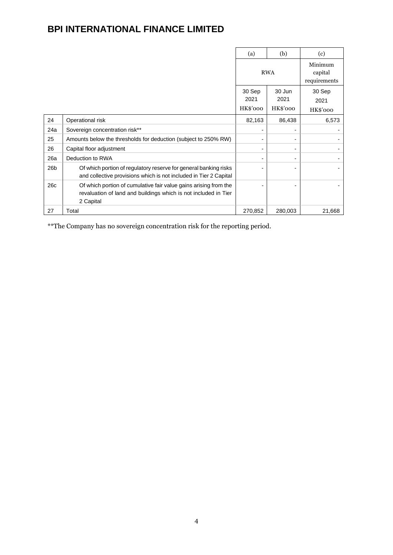|                 |                                                                                                                                                  | (a)                        | (b)                        | (c)                                |
|-----------------|--------------------------------------------------------------------------------------------------------------------------------------------------|----------------------------|----------------------------|------------------------------------|
|                 |                                                                                                                                                  | <b>RWA</b>                 |                            | Minimum<br>capital<br>requirements |
|                 |                                                                                                                                                  | 30 Sep<br>2021<br>HK\$'000 | 30 Jun<br>2021<br>HK\$'000 | 30 Sep<br>2021<br>HK\$'000         |
| 24              | Operational risk                                                                                                                                 | 82,163                     | 86,438                     | 6,573                              |
| 24a             | Sovereign concentration risk**                                                                                                                   |                            |                            |                                    |
| 25              | Amounts below the thresholds for deduction (subject to 250% RW)                                                                                  |                            |                            |                                    |
| 26              | Capital floor adjustment                                                                                                                         |                            |                            |                                    |
| 26a             | Deduction to RWA                                                                                                                                 |                            |                            |                                    |
| 26 <sub>b</sub> | Of which portion of regulatory reserve for general banking risks<br>and collective provisions which is not included in Tier 2 Capital            |                            |                            |                                    |
| 26c             | Of which portion of cumulative fair value gains arising from the<br>revaluation of land and buildings which is not included in Tier<br>2 Capital |                            |                            |                                    |
| 27              | Total                                                                                                                                            | 270,852                    | 280,003                    | 21,668                             |

\*\*The Company has no sovereign concentration risk for the reporting period.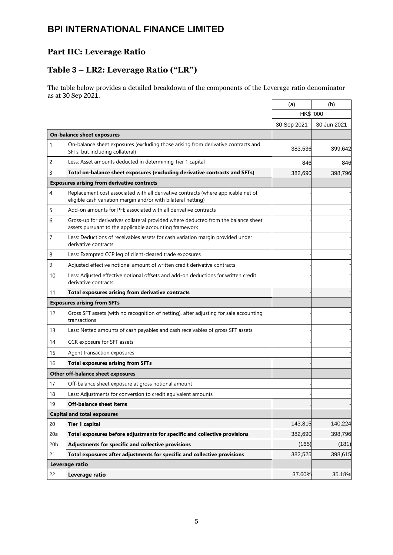### **Part IIC: Leverage Ratio**

### **Table 3 – LR2: Leverage Ratio ("LR")**

The table below provides a detailed breakdown of the components of the Leverage ratio denominator as at 30 Sep 2021.

|                 |                                                                                                                                                     | (a)              | (b)         |
|-----------------|-----------------------------------------------------------------------------------------------------------------------------------------------------|------------------|-------------|
|                 |                                                                                                                                                     | <b>HK\$ '000</b> |             |
|                 |                                                                                                                                                     | 30 Sep 2021      | 30 Jun 2021 |
|                 | <b>On-balance sheet exposures</b>                                                                                                                   |                  |             |
| 1               | On-balance sheet exposures (excluding those arising from derivative contracts and<br>SFTs, but including collateral)                                | 383,536          | 399,642     |
| 2               | Less: Asset amounts deducted in determining Tier 1 capital                                                                                          | 846              | 846         |
| 3               | Total on-balance sheet exposures (excluding derivative contracts and SFTs)                                                                          | 382,690          | 398,796     |
|                 | <b>Exposures arising from derivative contracts</b>                                                                                                  |                  |             |
| 4               | Replacement cost associated with all derivative contracts (where applicable net of<br>eligible cash variation margin and/or with bilateral netting) |                  |             |
| 5               | Add-on amounts for PFE associated with all derivative contracts                                                                                     |                  |             |
| 6               | Gross-up for derivatives collateral provided where deducted from the balance sheet<br>assets pursuant to the applicable accounting framework        |                  |             |
| 7               | Less: Deductions of receivables assets for cash variation margin provided under<br>derivative contracts                                             |                  |             |
| 8               | Less: Exempted CCP leg of client-cleared trade exposures                                                                                            |                  |             |
| 9               | Adjusted effective notional amount of written credit derivative contracts                                                                           |                  |             |
| 10              | Less: Adjusted effective notional offsets and add-on deductions for written credit<br>derivative contracts                                          |                  |             |
| 11              | <b>Total exposures arising from derivative contracts</b>                                                                                            |                  |             |
|                 | <b>Exposures arising from SFTs</b>                                                                                                                  |                  |             |
| 12              | Gross SFT assets (with no recognition of netting), after adjusting for sale accounting<br>transactions                                              |                  |             |
| 13              | Less: Netted amounts of cash payables and cash receivables of gross SFT assets                                                                      |                  |             |
| 14              | CCR exposure for SFT assets                                                                                                                         |                  |             |
| 15              | Agent transaction exposures                                                                                                                         |                  |             |
| 16              | <b>Total exposures arising from SFTs</b>                                                                                                            |                  |             |
|                 | Other off-balance sheet exposures                                                                                                                   |                  |             |
| 17              | Off-balance sheet exposure at gross notional amount                                                                                                 |                  |             |
| 18              | Less: Adjustments for conversion to credit equivalent amounts                                                                                       |                  |             |
| 19              | <b>Off-balance sheet items</b>                                                                                                                      |                  |             |
|                 | <b>Capital and total exposures</b>                                                                                                                  |                  |             |
| 20              | <b>Tier 1 capital</b>                                                                                                                               | 143,815          | 140,224     |
| 20a             | Total exposures before adjustments for specific and collective provisions                                                                           | 382,690          | 398,796     |
| 20 <sub>b</sub> | Adjustments for specific and collective provisions                                                                                                  | (165)            | (181)       |
| 21              | Total exposures after adjustments for specific and collective provisions                                                                            | 382,525          | 398,615     |
|                 | Leverage ratio                                                                                                                                      |                  |             |
| 22              | Leverage ratio                                                                                                                                      | 37.60%           | 35.18%      |